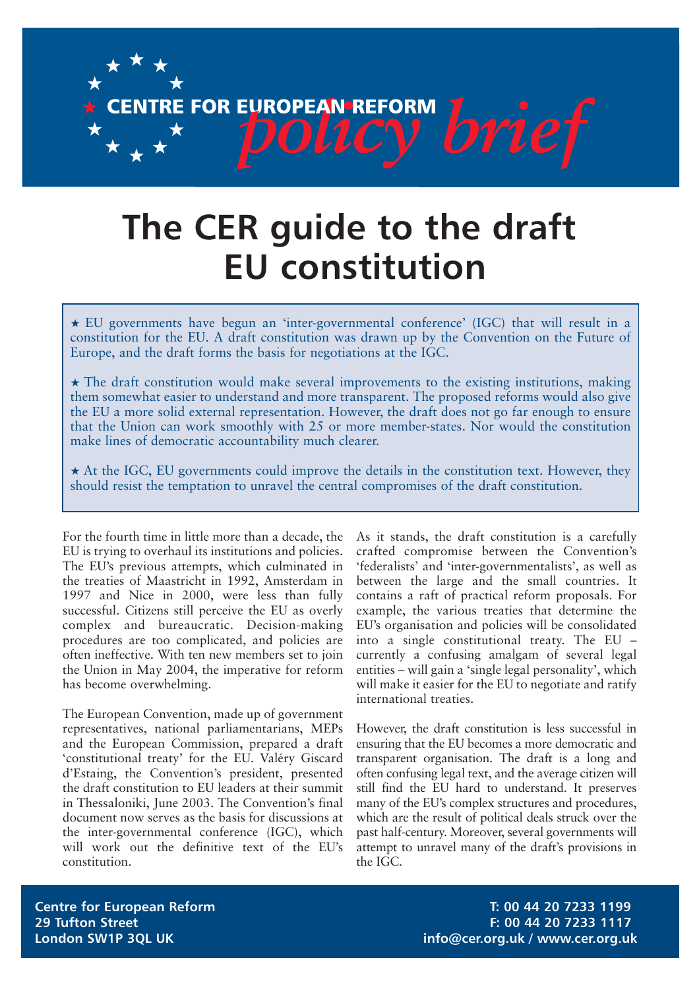

# **The CER guide to the draft EU constitution**

★ EU governments have begun an 'inter-governmental conference' (IGC) that will result in a constitution for the EU. A draft constitution was drawn up by the Convention on the Future of Europe, and the draft forms the basis for negotiations at the IGC.

 $\star$  The draft constitution would make several improvements to the existing institutions, making them somewhat easier to understand and more transparent. The proposed reforms would also give the EU a more solid external representation. However, the draft does not go far enough to ensure that the Union can work smoothly with 25 or more member-states. Nor would the constitution make lines of democratic accountability much clearer.

 $\star$  At the IGC, EU governments could improve the details in the constitution text. However, they should resist the temptation to unravel the central compromises of the draft constitution.

For the fourth time in little more than a decade, the EU is trying to overhaul its institutions and policies. The EU's previous attempts, which culminated in the treaties of Maastricht in 1992, Amsterdam in 1997 and Nice in 2000, were less than fully successful. Citizens still perceive the EU as overly complex and bureaucratic. Decision-making procedures are too complicated, and policies are often ineffective. With ten new members set to join the Union in May 2004, the imperative for reform has become overwhelming.

The European Convention, made up of government representatives, national parliamentarians, MEPs and the European Commission, prepared a draft 'constitutional treaty' for the EU. Valéry Giscard d'Estaing, the Convention's president, presented the draft constitution to EU leaders at their summit in Thessaloniki, June 2003. The Convention's final document now serves as the basis for discussions at the inter-governmental conference (IGC), which will work out the definitive text of the EU's constitution.

As it stands, the draft constitution is a carefully crafted compromise between the Convention's 'federalists' and 'inter-governmentalists', as well as between the large and the small countries. It contains a raft of practical reform proposals. For example, the various treaties that determine the EU's organisation and policies will be consolidated into a single constitutional treaty. The EU – currently a confusing amalgam of several legal entities – will gain a 'single legal personality', which will make it easier for the EU to negotiate and ratify international treaties.

However, the draft constitution is less successful in ensuring that the EU becomes a more democratic and transparent organisation. The draft is a long and often confusing legal text, and the average citizen will still find the EU hard to understand. It preserves many of the EU's complex structures and procedures, which are the result of political deals struck over the past half-century. Moreover, several governments will attempt to unravel many of the draft's provisions in the IGC.

**Centre for European Reform T: 00 44 20 7233 1199 29 Tufton Street F: 00 44 20 7233 1117** London SW1P 3QL UK **info@cer.org.uk / www.cer.org.uk**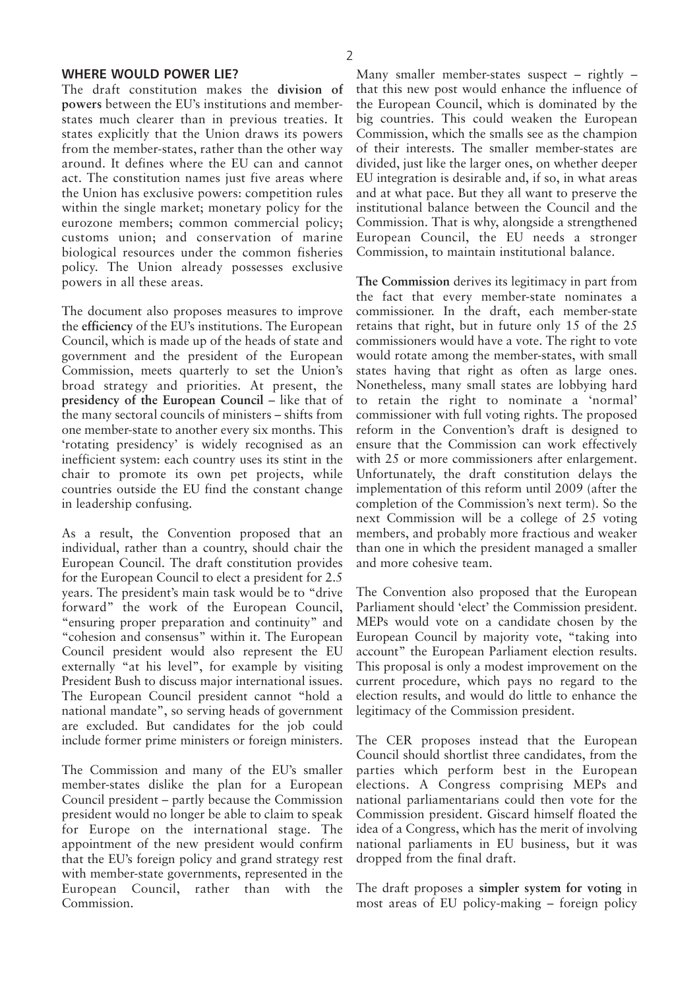#### **WHERE WOULD POWER LIE?**

The draft constitution makes the **division of powers** between the EU's institutions and memberstates much clearer than in previous treaties. It states explicitly that the Union draws its powers from the member-states, rather than the other way around. It defines where the EU can and cannot act. The constitution names just five areas where the Union has exclusive powers: competition rules within the single market; monetary policy for the eurozone members; common commercial policy; customs union; and conservation of marine biological resources under the common fisheries policy. The Union already possesses exclusive powers in all these areas.

The document also proposes measures to improve the **efficiency** of the EU's institutions. The European Council, which is made up of the heads of state and government and the president of the European Commission, meets quarterly to set the Union's broad strategy and priorities. At present, the **presidency of the European Council** – like that of the many sectoral councils of ministers – shifts from one member-state to another every six months. This 'rotating presidency' is widely recognised as an inefficient system: each country uses its stint in the chair to promote its own pet projects, while countries outside the EU find the constant change in leadership confusing.

As a result, the Convention proposed that an individual, rather than a country, should chair the European Council. The draft constitution provides for the European Council to elect a president for 2.5 years. The president's main task would be to "drive forward" the work of the European Council, "ensuring proper preparation and continuity" and "cohesion and consensus" within it. The European Council president would also represent the EU externally "at his level", for example by visiting President Bush to discuss major international issues. The European Council president cannot "hold a national mandate", so serving heads of government are excluded. But candidates for the job could include former prime ministers or foreign ministers.

The Commission and many of the EU's smaller member-states dislike the plan for a European Council president – partly because the Commission president would no longer be able to claim to speak for Europe on the international stage. The appointment of the new president would confirm that the EU's foreign policy and grand strategy rest with member-state governments, represented in the European Council, rather than with the Commission.

Many smaller member-states suspect – rightly – that this new post would enhance the influence of the European Council, which is dominated by the big countries. This could weaken the European Commission, which the smalls see as the champion of their interests. The smaller member-states are divided, just like the larger ones, on whether deeper EU integration is desirable and, if so, in what areas and at what pace. But they all want to preserve the institutional balance between the Council and the Commission. That is why, alongside a strengthened European Council, the EU needs a stronger Commission, to maintain institutional balance.

**The Commission** derives its legitimacy in part from the fact that every member-state nominates a commissioner. In the draft, each member-state retains that right, but in future only 15 of the 25 commissioners would have a vote. The right to vote would rotate among the member-states, with small states having that right as often as large ones. Nonetheless, many small states are lobbying hard to retain the right to nominate a 'normal' commissioner with full voting rights. The proposed reform in the Convention's draft is designed to ensure that the Commission can work effectively with 25 or more commissioners after enlargement. Unfortunately, the draft constitution delays the implementation of this reform until 2009 (after the completion of the Commission's next term). So the next Commission will be a college of 25 voting members, and probably more fractious and weaker than one in which the president managed a smaller and more cohesive team.

The Convention also proposed that the European Parliament should 'elect' the Commission president. MEPs would vote on a candidate chosen by the European Council by majority vote, "taking into account" the European Parliament election results. This proposal is only a modest improvement on the current procedure, which pays no regard to the election results, and would do little to enhance the legitimacy of the Commission president.

The CER proposes instead that the European Council should shortlist three candidates, from the parties which perform best in the European elections. A Congress comprising MEPs and national parliamentarians could then vote for the Commission president. Giscard himself floated the idea of a Congress, which has the merit of involving national parliaments in EU business, but it was dropped from the final draft.

The draft proposes a **simpler system for voting** in most areas of EU policy-making – foreign policy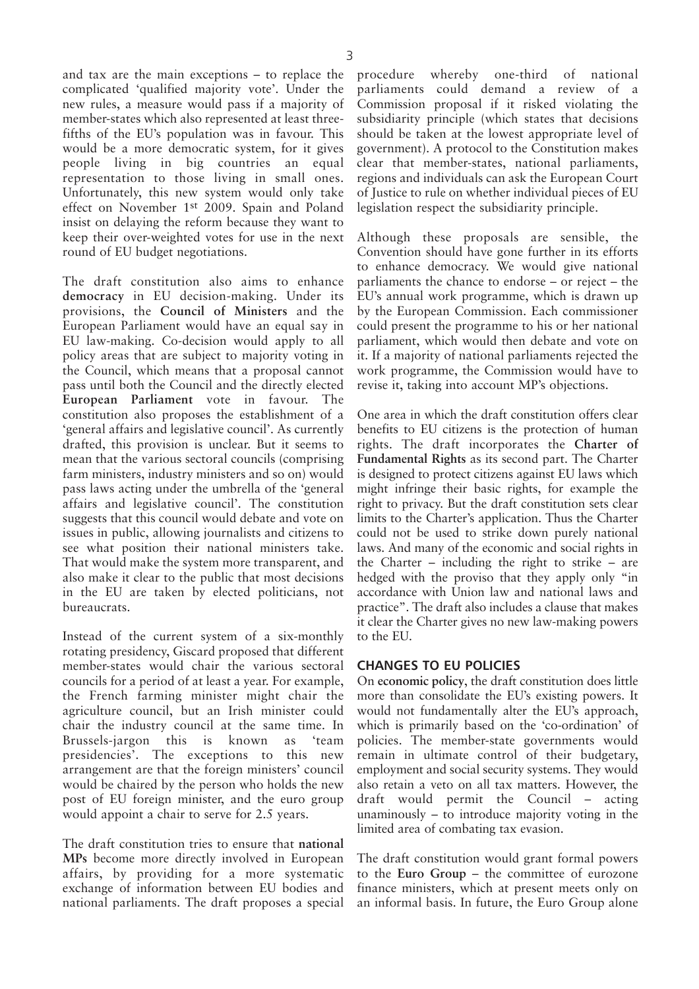and tax are the main exceptions – to replace the complicated 'qualified majority vote'. Under the new rules, a measure would pass if a majority of member-states which also represented at least threefifths of the EU's population was in favour. This would be a more democratic system, for it gives people living in big countries an equal representation to those living in small ones. Unfortunately, this new system would only take effect on November 1st 2009. Spain and Poland insist on delaying the reform because they want to keep their over-weighted votes for use in the next round of EU budget negotiations.

The draft constitution also aims to enhance **democracy** in EU decision-making. Under its provisions, the **Council of Ministers** and the European Parliament would have an equal say in EU law-making. Co-decision would apply to all policy areas that are subject to majority voting in the Council, which means that a proposal cannot pass until both the Council and the directly elected **European Parliament** vote in favour. The constitution also proposes the establishment of a 'general affairs and legislative council'. As currently drafted, this provision is unclear. But it seems to mean that the various sectoral councils (comprising farm ministers, industry ministers and so on) would pass laws acting under the umbrella of the 'general affairs and legislative council'. The constitution suggests that this council would debate and vote on issues in public, allowing journalists and citizens to see what position their national ministers take. That would make the system more transparent, and also make it clear to the public that most decisions in the EU are taken by elected politicians, not bureaucrats.

Instead of the current system of a six-monthly rotating presidency, Giscard proposed that different member-states would chair the various sectoral councils for a period of at least a year. For example, the French farming minister might chair the agriculture council, but an Irish minister could chair the industry council at the same time. In Brussels-jargon this is known as 'team presidencies'. The exceptions to this new arrangement are that the foreign ministers' council would be chaired by the person who holds the new post of EU foreign minister, and the euro group would appoint a chair to serve for 2.5 years.

The draft constitution tries to ensure that **national MPs** become more directly involved in European affairs, by providing for a more systematic exchange of information between EU bodies and national parliaments. The draft proposes a special

procedure whereby one-third of national parliaments could demand a review of a Commission proposal if it risked violating the subsidiarity principle (which states that decisions should be taken at the lowest appropriate level of government). A protocol to the Constitution makes clear that member-states, national parliaments, regions and individuals can ask the European Court of Justice to rule on whether individual pieces of EU legislation respect the subsidiarity principle.

Although these proposals are sensible, the Convention should have gone further in its efforts to enhance democracy. We would give national parliaments the chance to endorse – or reject – the EU's annual work programme, which is drawn up by the European Commission. Each commissioner could present the programme to his or her national parliament, which would then debate and vote on it. If a majority of national parliaments rejected the work programme, the Commission would have to revise it, taking into account MP's objections.

One area in which the draft constitution offers clear benefits to EU citizens is the protection of human rights. The draft incorporates the **Charter of Fundamental Rights** as its second part. The Charter is designed to protect citizens against EU laws which might infringe their basic rights, for example the right to privacy. But the draft constitution sets clear limits to the Charter's application. Thus the Charter could not be used to strike down purely national laws. And many of the economic and social rights in the Charter – including the right to strike – are hedged with the proviso that they apply only "in accordance with Union law and national laws and practice". The draft also includes a clause that makes it clear the Charter gives no new law-making powers to the EU.

#### **CHANGES TO EU POLICIES**

On **economic policy**, the draft constitution does little more than consolidate the EU's existing powers. It would not fundamentally alter the EU's approach, which is primarily based on the 'co-ordination' of policies. The member-state governments would remain in ultimate control of their budgetary, employment and social security systems. They would also retain a veto on all tax matters. However, the draft would permit the Council – acting unaminously – to introduce majority voting in the limited area of combating tax evasion.

The draft constitution would grant formal powers to the **Euro Group** – the committee of eurozone finance ministers, which at present meets only on an informal basis. In future, the Euro Group alone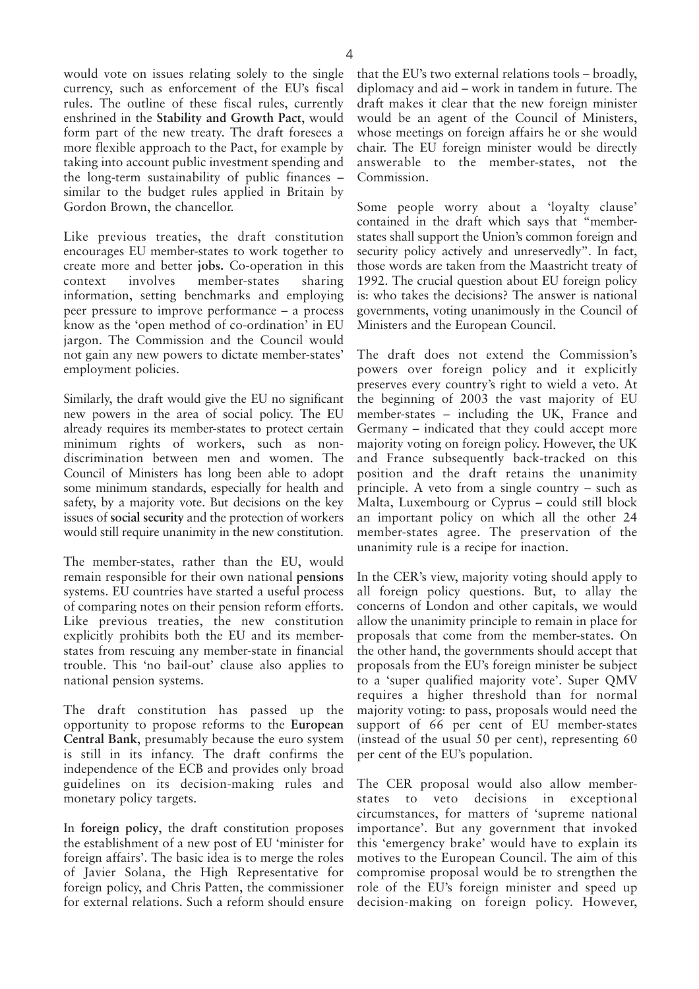would vote on issues relating solely to the single currency, such as enforcement of the EU's fiscal rules. The outline of these fiscal rules, currently enshrined in the **Stability and Growth Pact**, would form part of the new treaty. The draft foresees a more flexible approach to the Pact, for example by taking into account public investment spending and the long-term sustainability of public finances – similar to the budget rules applied in Britain by Gordon Brown, the chancellor.

Like previous treaties, the draft constitution encourages EU member-states to work together to create more and better **jobs.** Co-operation in this context involves member-states sharing information, setting benchmarks and employing peer pressure to improve performance – a process know as the 'open method of co-ordination' in EU jargon. The Commission and the Council would not gain any new powers to dictate member-states' employment policies.

Similarly, the draft would give the EU no significant new powers in the area of social policy. The EU already requires its member-states to protect certain minimum rights of workers, such as nondiscrimination between men and women. The Council of Ministers has long been able to adopt some minimum standards, especially for health and safety, by a majority vote. But decisions on the key issues of **social security** and the protection of workers would still require unanimity in the new constitution.

The member-states, rather than the EU, would remain responsible for their own national **pensions** systems. EU countries have started a useful process of comparing notes on their pension reform efforts. Like previous treaties, the new constitution explicitly prohibits both the EU and its memberstates from rescuing any member-state in financial trouble. This 'no bail-out' clause also applies to national pension systems.

The draft constitution has passed up the opportunity to propose reforms to the **European Central Bank**, presumably because the euro system is still in its infancy. The draft confirms the independence of the ECB and provides only broad guidelines on its decision-making rules and monetary policy targets.

In **foreign policy**, the draft constitution proposes the establishment of a new post of EU 'minister for foreign affairs'. The basic idea is to merge the roles of Javier Solana, the High Representative for foreign policy, and Chris Patten, the commissioner for external relations. Such a reform should ensure that the EU's two external relations tools – broadly, diplomacy and aid – work in tandem in future. The draft makes it clear that the new foreign minister would be an agent of the Council of Ministers, whose meetings on foreign affairs he or she would chair. The EU foreign minister would be directly answerable to the member-states, not the Commission.

Some people worry about a 'loyalty clause' contained in the draft which says that "memberstates shall support the Union's common foreign and security policy actively and unreservedly". In fact, those words are taken from the Maastricht treaty of 1992. The crucial question about EU foreign policy is: who takes the decisions? The answer is national governments, voting unanimously in the Council of Ministers and the European Council.

The draft does not extend the Commission's powers over foreign policy and it explicitly preserves every country's right to wield a veto. At the beginning of 2003 the vast majority of EU member-states – including the UK, France and Germany – indicated that they could accept more majority voting on foreign policy. However, the UK and France subsequently back-tracked on this position and the draft retains the unanimity principle. A veto from a single country – such as Malta, Luxembourg or Cyprus – could still block an important policy on which all the other 24 member-states agree. The preservation of the unanimity rule is a recipe for inaction.

In the CER's view, majority voting should apply to all foreign policy questions. But, to allay the concerns of London and other capitals, we would allow the unanimity principle to remain in place for proposals that come from the member-states. On the other hand, the governments should accept that proposals from the EU's foreign minister be subject to a 'super qualified majority vote'. Super QMV requires a higher threshold than for normal majority voting: to pass, proposals would need the support of 66 per cent of EU member-states (instead of the usual 50 per cent), representing 60 per cent of the EU's population.

The CER proposal would also allow memberstates to veto decisions in exceptional circumstances, for matters of 'supreme national importance'. But any government that invoked this 'emergency brake' would have to explain its motives to the European Council. The aim of this compromise proposal would be to strengthen the role of the EU's foreign minister and speed up decision-making on foreign policy. However,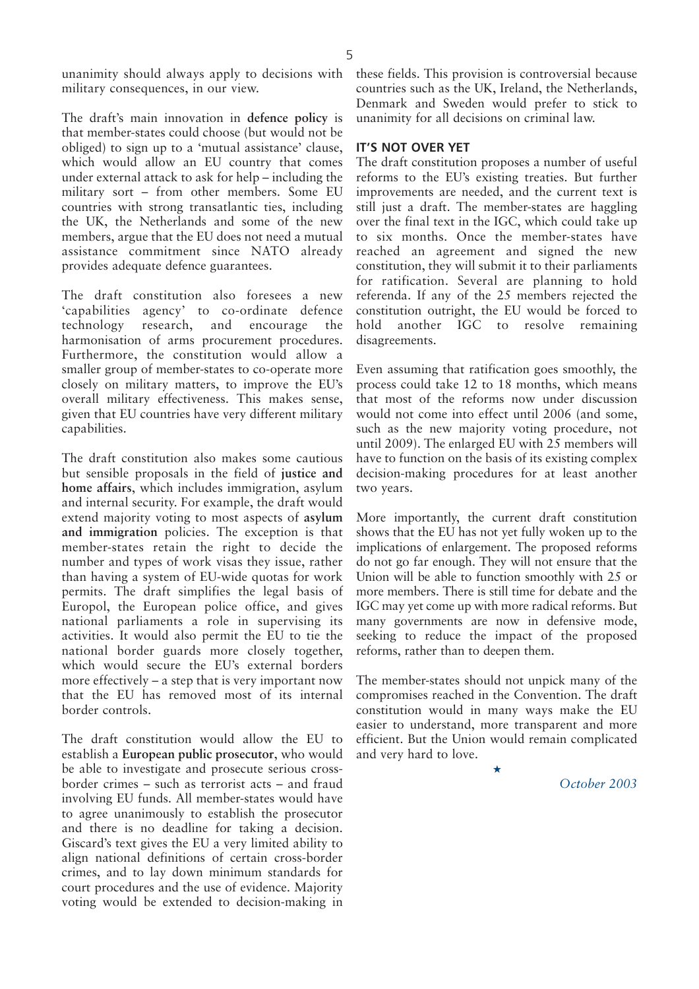unanimity should always apply to decisions with military consequences, in our view.

The draft's main innovation in **defence policy** is that member-states could choose (but would not be obliged) to sign up to a 'mutual assistance' clause, which would allow an EU country that comes under external attack to ask for help – including the military sort – from other members. Some EU countries with strong transatlantic ties, including the UK, the Netherlands and some of the new members, argue that the EU does not need a mutual assistance commitment since NATO already provides adequate defence guarantees.

The draft constitution also foresees a new 'capabilities agency' to co-ordinate defence technology research, and encourage the harmonisation of arms procurement procedures. Furthermore, the constitution would allow a smaller group of member-states to co-operate more closely on military matters, to improve the EU's overall military effectiveness. This makes sense, given that EU countries have very different military capabilities.

The draft constitution also makes some cautious but sensible proposals in the field of **justice and home affairs**, which includes immigration, asylum and internal security. For example, the draft would extend majority voting to most aspects of **asylum and immigration** policies. The exception is that member-states retain the right to decide the number and types of work visas they issue, rather than having a system of EU-wide quotas for work permits. The draft simplifies the legal basis of Europol, the European police office, and gives national parliaments a role in supervising its activities. It would also permit the EU to tie the national border guards more closely together, which would secure the EU's external borders more effectively – a step that is very important now that the EU has removed most of its internal border controls.

The draft constitution would allow the EU to establish a **European public prosecutor**, who would be able to investigate and prosecute serious crossborder crimes – such as terrorist acts – and fraud involving EU funds. All member-states would have to agree unanimously to establish the prosecutor and there is no deadline for taking a decision. Giscard's text gives the EU a very limited ability to align national definitions of certain cross-border crimes, and to lay down minimum standards for court procedures and the use of evidence. Majority voting would be extended to decision-making in

these fields. This provision is controversial because countries such as the UK, Ireland, the Netherlands, Denmark and Sweden would prefer to stick to unanimity for all decisions on criminal law.

#### **IT'S NOT OVER YET**

The draft constitution proposes a number of useful reforms to the EU's existing treaties. But further improvements are needed, and the current text is still just a draft. The member-states are haggling over the final text in the IGC, which could take up to six months. Once the member-states have reached an agreement and signed the new constitution, they will submit it to their parliaments for ratification. Several are planning to hold referenda. If any of the 25 members rejected the constitution outright, the EU would be forced to hold another IGC to resolve remaining disagreements.

Even assuming that ratification goes smoothly, the process could take 12 to 18 months, which means that most of the reforms now under discussion would not come into effect until 2006 (and some, such as the new majority voting procedure, not until 2009). The enlarged EU with 25 members will have to function on the basis of its existing complex decision-making procedures for at least another two years.

More importantly, the current draft constitution shows that the EU has not yet fully woken up to the implications of enlargement. The proposed reforms do not go far enough. They will not ensure that the Union will be able to function smoothly with 25 or more members. There is still time for debate and the IGC may yet come up with more radical reforms. But many governments are now in defensive mode, seeking to reduce the impact of the proposed reforms, rather than to deepen them.

The member-states should not unpick many of the compromises reached in the Convention. The draft constitution would in many ways make the EU easier to understand, more transparent and more efficient. But the Union would remain complicated and very hard to love.

★

*October 2003*